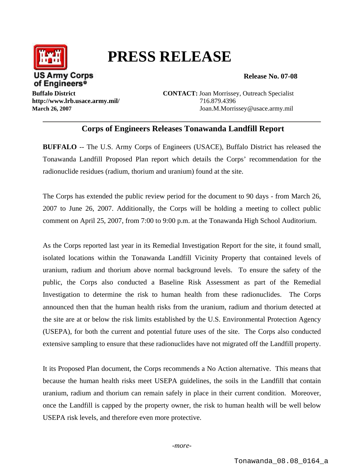

## **PRESS RELEASE**

**Release No. 07-08** 

**http://www.lrb.usace.army.mil/** 716.879.4396

**Buffalo District CONTACT:** Joan Morrissey, Outreach Specialist **March 26, 2007** Joan.M.Morrissey@usace.army.mil

## **Corps of Engineers Releases Tonawanda Landfill Report**

**BUFFALO** -- The U.S. Army Corps of Engineers (USACE), Buffalo District has released the Tonawanda Landfill Proposed Plan report which details the Corps' recommendation for the radionuclide residues (radium, thorium and uranium) found at the site.

The Corps has extended the public review period for the document to 90 days - from March 26, 2007 to June 26, 2007. Additionally, the Corps will be holding a meeting to collect public comment on April 25, 2007, from 7:00 to 9:00 p.m. at the Tonawanda High School Auditorium.

As the Corps reported last year in its Remedial Investigation Report for the site, it found small, isolated locations within the Tonawanda Landfill Vicinity Property that contained levels of uranium, radium and thorium above normal background levels. To ensure the safety of the public, the Corps also conducted a Baseline Risk Assessment as part of the Remedial Investigation to determine the risk to human health from these radionuclides. The Corps announced then that the human health risks from the uranium, radium and thorium detected at the site are at or below the risk limits established by the U.S. Environmental Protection Agency (USEPA), for both the current and potential future uses of the site. The Corps also conducted extensive sampling to ensure that these radionuclides have not migrated off the Landfill property.

It its Proposed Plan document, the Corps recommends a No Action alternative. This means that because the human health risks meet USEPA guidelines, the soils in the Landfill that contain uranium, radium and thorium can remain safely in place in their current condition. Moreover, once the Landfill is capped by the property owner, the risk to human health will be well below USEPA risk levels, and therefore even more protective.